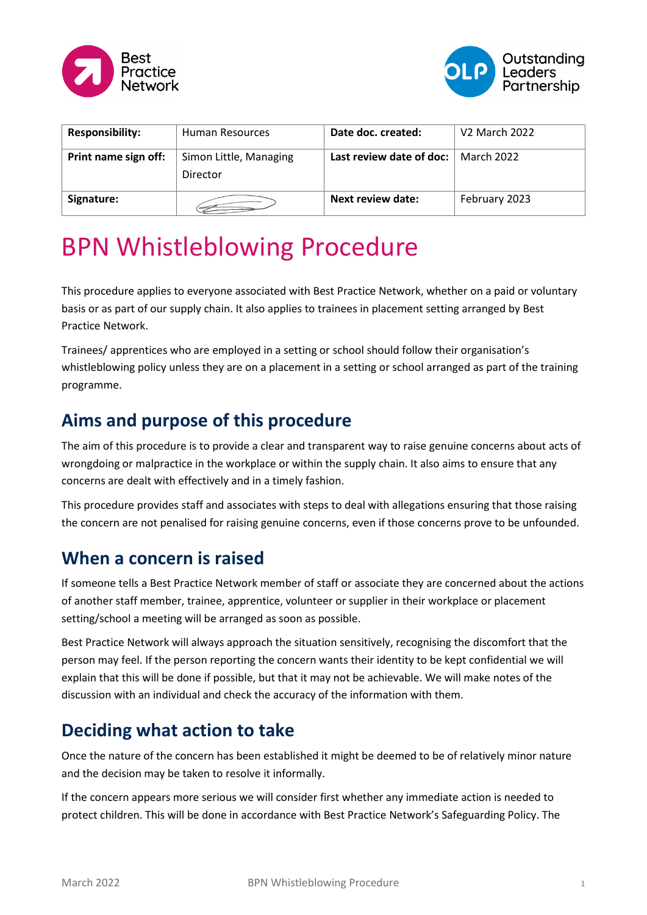



| <b>Responsibility:</b> | Human Resources                    | Date doc. created:       | V <sub>2</sub> March 2022 |
|------------------------|------------------------------------|--------------------------|---------------------------|
| Print name sign off:   | Simon Little, Managing<br>Director | Last review date of doc: | March 2022                |
| Signature:             |                                    | Next review date:        | February 2023             |

# BPN Whistleblowing Procedure

This procedure applies to everyone associated with Best Practice Network, whether on a paid or voluntary basis or as part of our supply chain. It also applies to trainees in placement setting arranged by Best Practice Network.

Trainees/ apprentices who are employed in a setting or school should follow their organisation's whistleblowing policy unless they are on a placement in a setting or school arranged as part of the training programme.

## **Aims and purpose of this procedure**

The aim of this procedure is to provide a clear and transparent way to raise genuine concerns about acts of wrongdoing or malpractice in the workplace or within the supply chain. It also aims to ensure that any concerns are dealt with effectively and in a timely fashion.

This procedure provides staff and associates with steps to deal with allegations ensuring that those raising the concern are not penalised for raising genuine concerns, even if those concerns prove to be unfounded.

#### **When a concern is raised**

If someone tells a Best Practice Network member of staff or associate they are concerned about the actions of another staff member, trainee, apprentice, volunteer or supplier in their workplace or placement setting/school a meeting will be arranged as soon as possible.

Best Practice Network will always approach the situation sensitively, recognising the discomfort that the person may feel. If the person reporting the concern wants their identity to be kept confidential we will explain that this will be done if possible, but that it may not be achievable. We will make notes of the discussion with an individual and check the accuracy of the information with them.

## **Deciding what action to take**

Once the nature of the concern has been established it might be deemed to be of relatively minor nature and the decision may be taken to resolve it informally.

If the concern appears more serious we will consider first whether any immediate action is needed to protect children. This will be done in accordance with Best Practice Network's Safeguarding Policy. The